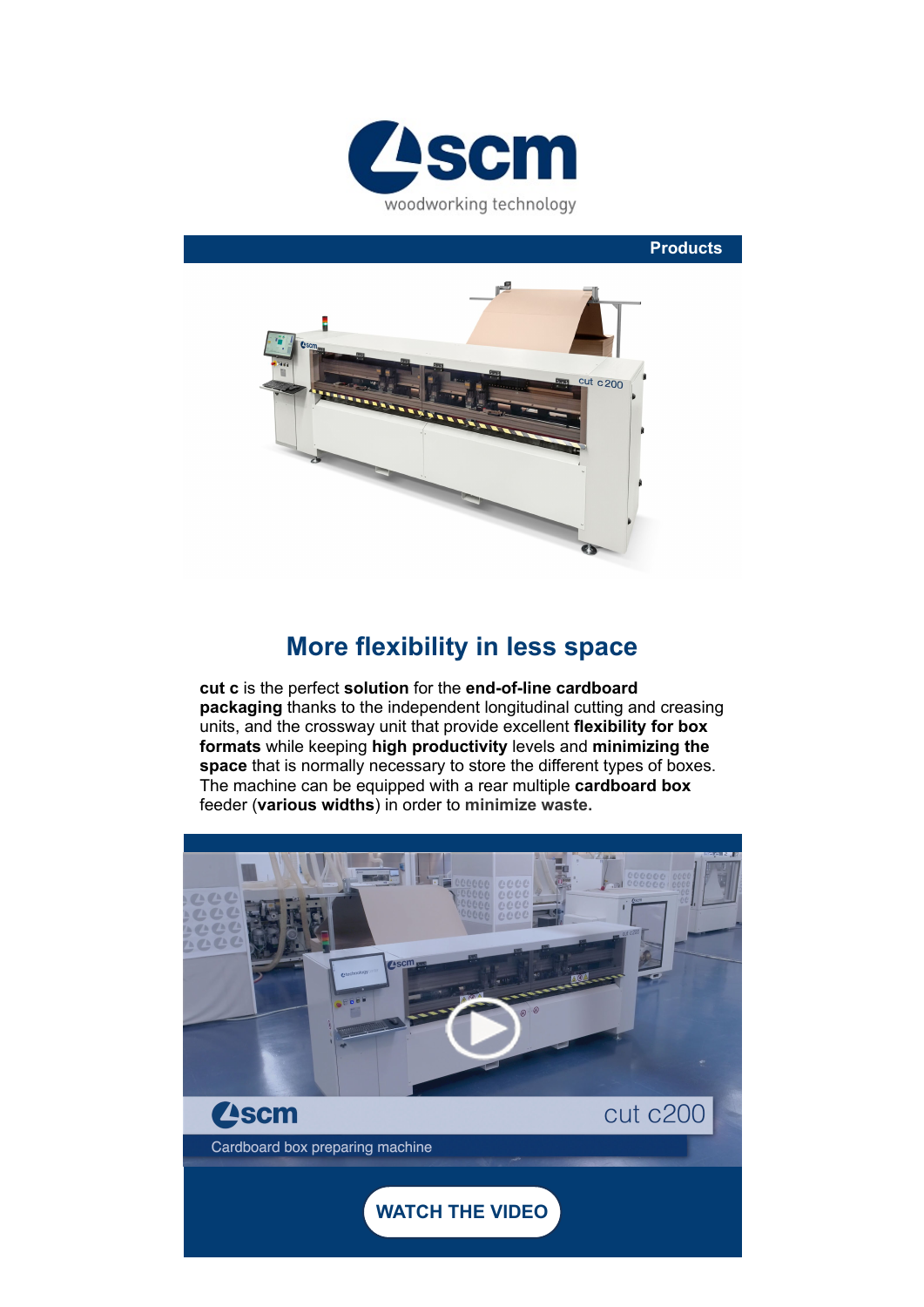

**Products**



## **More flexibility in less space**

**cut c** is the perfect **solution** for the **end-of-line cardboard packaging** thanks to the independent longitudinal cutting and creasing units, and the crossway unit that provide excellent **flexibility for box formats** while keeping **high productivity** levels and **minimizing the space** that is normally necessary to store the different types of boxes. The machine can be equipped with a rear multiple **cardboard box** feeder (**various widths**) in order to **minimize waste.**